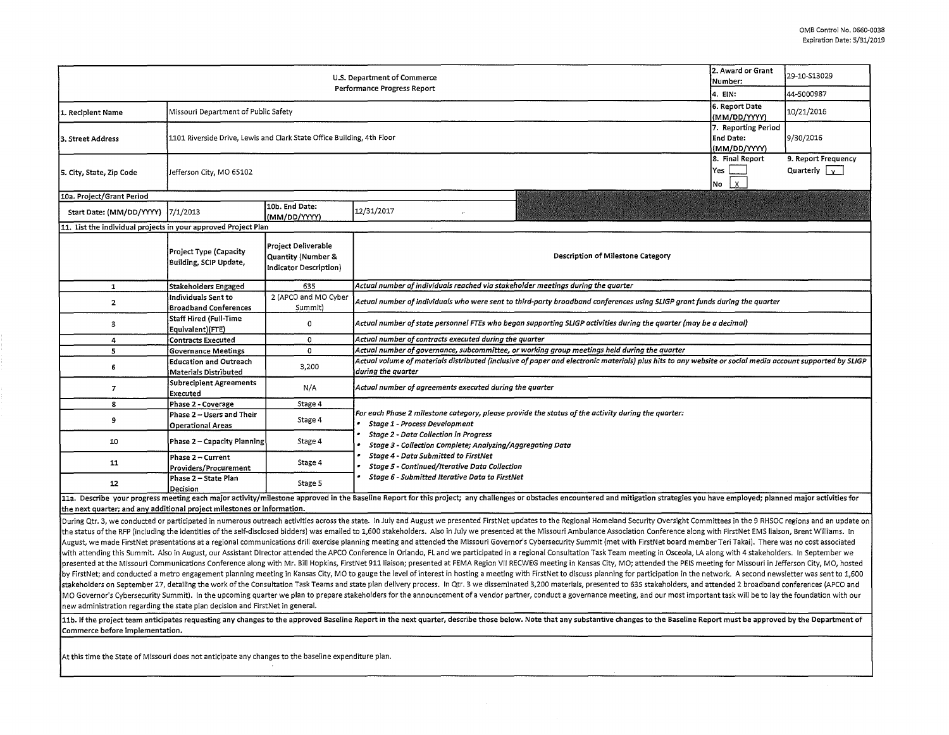| 2. Award or Grant<br>U.S. Department of Commerce<br>Number:<br>Performance Progress Report<br>4. EIN: |                                                                        |                                                                                |                                                                                                                                                                                                                                                         |                          | 29-10-S13029 |  |  |  |  |
|-------------------------------------------------------------------------------------------------------|------------------------------------------------------------------------|--------------------------------------------------------------------------------|---------------------------------------------------------------------------------------------------------------------------------------------------------------------------------------------------------------------------------------------------------|--------------------------|--------------|--|--|--|--|
|                                                                                                       |                                                                        |                                                                                |                                                                                                                                                                                                                                                         |                          | 44-5000987   |  |  |  |  |
| 1. Recipient Name                                                                                     | Missouri Department of Public Safety                                   | 6. Report Date<br>(MM/DD/YYYY)                                                 | 10/21/2016                                                                                                                                                                                                                                              |                          |              |  |  |  |  |
| l3. Street Address                                                                                    | 1101 Riverside Drive, Lewis and Clark State Office Building, 4th Floor | 7. Reporting Period<br>End Date:<br>(MM/DD/YYYY)                               | 9/30/2016                                                                                                                                                                                                                                               |                          |              |  |  |  |  |
| 5. City, State, Zip Code                                                                              | Jefferson City, MO 65102                                               | 8. Final Report<br>Yes<br>$\overline{2}$<br>No                                 | 9. Report Frequency<br>Quarterly $\sqrt{y}$                                                                                                                                                                                                             |                          |              |  |  |  |  |
| 10a. Project/Grant Period                                                                             |                                                                        |                                                                                |                                                                                                                                                                                                                                                         |                          |              |  |  |  |  |
| Start Date: (MM/DD/YYYY)                                                                              | 7/1/2013                                                               | 10b. End Date:<br>(MM/DD/YYYY)                                                 | 12/31/2017                                                                                                                                                                                                                                              |                          |              |  |  |  |  |
| 11. List the individual projects in your approved Project Plan                                        |                                                                        |                                                                                |                                                                                                                                                                                                                                                         |                          |              |  |  |  |  |
|                                                                                                       | Project Type (Capacity<br>Building, SCIP Update,                       | Project Deliverable<br><b>Quantity (Number &amp;</b><br>Indicator Description) | Description of Milestone Category                                                                                                                                                                                                                       |                          |              |  |  |  |  |
| $\mathbf{1}$                                                                                          | Stakeholders Engaged                                                   | 635                                                                            | Actual number of individuals reached via stakeholder meetings during the quarter                                                                                                                                                                        |                          |              |  |  |  |  |
| $\overline{2}$                                                                                        | Individuals Sent to<br><b>Broadband Conferences</b>                    | 2 (APCO and MO Cyber<br>Summit)                                                | Actual number of individuals who were sent to third-party broadband conferences using SLIGP grant funds during the quarter                                                                                                                              |                          |              |  |  |  |  |
| 3                                                                                                     | Staff Hired (Full-Time<br>Equivalent)(FTE)                             | 0                                                                              | Actual number of state personnel FTEs who began supporting SLIGP activities during the quarter (may be a decimal)                                                                                                                                       |                          |              |  |  |  |  |
| 4                                                                                                     | <b>Contracts Executed</b>                                              | 0                                                                              | Actual number of contracts executed during the quarter                                                                                                                                                                                                  |                          |              |  |  |  |  |
| 5                                                                                                     | <b>Governance Meetings</b>                                             | $\mathbf 0$                                                                    | Actual number of governance, subcommittee, or working group meetings held during the quarter                                                                                                                                                            |                          |              |  |  |  |  |
| 6                                                                                                     | Education and Outreach<br>Materials Distributed                        | 3,200                                                                          | Actual volume of materials distributed (inclusive of paper and electronic materials) plus hits to any website or social media account supported by SLIGP<br>during the quarter                                                                          |                          |              |  |  |  |  |
| $\overline{7}$                                                                                        | <b>Subrecipient Agreements</b><br>Executed                             | N/A                                                                            | Actual number of agreements executed during the quarter                                                                                                                                                                                                 |                          |              |  |  |  |  |
| 8                                                                                                     | Phase 2 - Coverage                                                     | Stage 4                                                                        |                                                                                                                                                                                                                                                         |                          |              |  |  |  |  |
| 9                                                                                                     | Phase 2 - Users and Their<br><b>Operational Areas</b>                  | Stage 4                                                                        | For each Phase 2 milestone category, please provide the status of the activity during the quarter:<br><b>Stage 1 - Process Development</b><br><b>Stage 2 - Data Collection in Progress</b><br>Stage 3 - Collection Complete; Analyzing/Aggregating Data |                          |              |  |  |  |  |
| 10                                                                                                    | Phase 2 - Capacity Planning                                            | Stage 4                                                                        |                                                                                                                                                                                                                                                         |                          |              |  |  |  |  |
| 11                                                                                                    | Phase 2 - Current<br>Providers/Procurement                             | Stage 4                                                                        | Stage 4 - Data Submitted to FirstNet<br>Stage 5 - Continued/Iterative Data Collection<br>Stage 6 - Submitted Iterative Data to FirstNet                                                                                                                 |                          |              |  |  |  |  |
| 12                                                                                                    | Phase 2 - State Plan<br>Decision                                       | Stage 5                                                                        |                                                                                                                                                                                                                                                         |                          |              |  |  |  |  |
| $B = -11$                                                                                             | ata ang bangang diturban banyang pang                                  |                                                                                | d to the Boarding Board Cruthia and sub-out diallector on chairdre concernity and activities in the structure.                                                                                                                                          | مستعارين والمتعاوية والم |              |  |  |  |  |

11a. Describe your progress meeting each major activity/milestone approved in the Baseline Report for this project; any challenges or obstacles encountered and mitigation strategies you have employed; planned major activit  $|$ the next quarter; and any additional project milestones or information.

During Qtr. 3, we conducted or participated in numerous outreach activities across the state. In July and August we presented FirstNet updates to the Regional Homeland Security Oversight Committees in the 9 RHSOC regions a the status of the RFP (including the identities of the self-disclosed bidders) was emailed to 1,600 stakeholders. Also in July we presented at the Missouri Ambulance Association Conference along with FirstNet EMS liaison, August, we made FirstNet presentations at a regional communications drill exercise planning meeting and attended the Missouri Governor's Cybersecurity Summit (met with FirstNet board member Teri Takai). There was no cost a with attending this Summit. Also in August, our Assistant Director attended the APCO Conference in Orlando, FL and we participated in a regional Consultation Task Team meeting in Osceola, LA along with 4 stakeholders. In S presented at the Missouri Communications Conference along with Mr. Bill Hopkins, FirstNet 911 liaison; presented at FEMA Region VII RECWEG meeting in Kansas City, MO; attended the PEIS meeting for Missouri in Jefferson Cit by FirstNet; and conducted a metro engagement planning meeting in Kansas City, MO to gauge the level of interest in hosting a meeting with FirstNet to discuss planning for participation in the network. A second newsletter stakeholders on September 27, detailing the work of the Consultation Task Teams and state plan delivery process. In Qtr. 3 we disseminated 3,200 materials, presented to 635 stakeholders, and attended 2 broadband conference MO Governor's Cybersecurity Summit). In the upcoming quarter we plan to prepare stakeholders for the announcement of a vendor partner, conduct a governance meeting, and our most important task will be to lay the foundation new administration regarding the state plan decision and FirstNet in general.

11b. If the project team anticipates requesting any changes to the approved Baseline Report in the next quarter, describe those below. Note that any substantive changes to the Baseline Report must be approved by the Depart Commerce before implementation.

At this time the State of Missouri does not anticipate any changes to the baseline expenditure plan.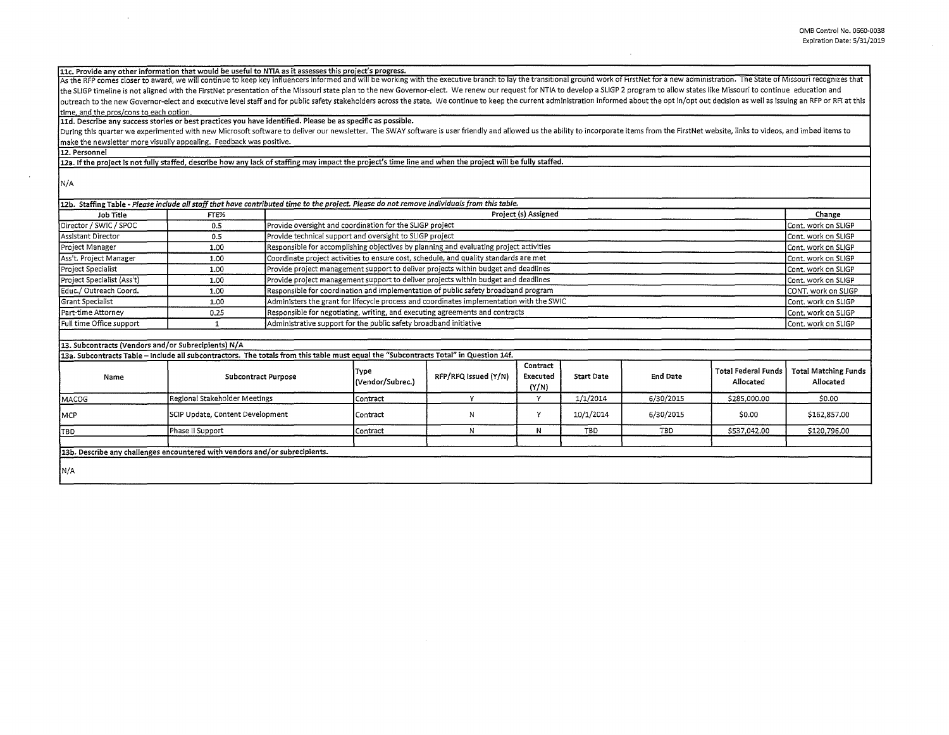11c. Provide any other information that would be useful to NTIA as it assesses this project's progress.<br>As the RFP comes closer to award, we will continue to keep key influencers informed and will be working with the execu the SLIGP timeline is not aligned with the FirstNet presentation of the Missouri state plan to the new Governor-elect. We renew our request for NTIA to develop a SLIGP 2 program to allow states like Missouri to continue ed outreach to the new Governor-elect and executive level staff and for public safety stakeholders across the state. We continue to keep the current administration informed about the opt in/opt out decision as well as issuing time, and the pros/cons to each option.

**lld. Describe any success stories or best practices you have identified. Please be as specific as possible.** 

During this quarter we experimented with new Microsoft software to deliver our newsletter. The SWAY software is user friendly and allowed us the ability to incorporate items from the FirstNet website, links to videos, and make the newsletter more visually appealing. Feedback was positive.

**12. Personnel** 

12a. If the project is not fully staffed, describe how any lack of staffing may impact the project's time line and when the project will be fully staffed.

N/A

|                            |      | 12b. Staffing Table - Please include all staff that have contributed time to the project. Please do not remove individuals from this table. |                     |
|----------------------------|------|---------------------------------------------------------------------------------------------------------------------------------------------|---------------------|
| Job Title                  | FTE% | Project (s) Assigned                                                                                                                        | Change              |
| Director / SWIC / SPOC     | 0.5  | Provide oversight and coordination for the SLIGP project                                                                                    | Cont. work on SLIGP |
| Assistant Director         | 0.5  | Provide technical support and oversight to SLIGP project                                                                                    | Cont. work on SLIGP |
| Project Manager            | 1.00 | Responsible for accomplishing objectives by planning and evaluating project activities                                                      | Cont. work on SLIGP |
| Ass't. Project Manager     | 1.00 | Coordinate project activities to ensure cost, schedule, and quality standards are met                                                       | Cont. work on SLIGP |
| Project Specialist         | 1.00 | Provide project management support to deliver projects within budget and deadlines                                                          | Cont. work on SLIGP |
| Project Specialist (Ass't) | 1.00 | Provide project management support to deliver projects within budget and deadlines                                                          | Cont. work on SLIGP |
| Educ./ Outreach Coord.     | 1.00 | Responsible for coordination and implementation of public safety broadband program                                                          | CONT, work on SLIGP |
| <b>Grant Specialist</b>    | 1.00 | Administers the grant for lifecycle process and coordinates implementation with the SWIC                                                    | Cont. work on SLIGP |
| Part-time Attorney         | 0.25 | Responsible for negotiating, writing, and executing agreements and contracts                                                                | Cont. work on SLIGP |
| Full time Office support   |      | Administrative support for the public safety broadband initiative                                                                           | Cont. work on SLIGP |
|                            |      |                                                                                                                                             |                     |

## 13. Subcontracts (Vendors and/or Subrecipients) N/A

**13a. Subcontracts Table** - **Include** all **subcontractors. The totals from this table must equal the "Subcontracts Total" in Question 14f.** 

| Name        | <b>Subcontract Purpose</b>                                                  | Type<br>(Vendor/Subrec.) | RFP/RFQ Issued (Y/N) | Contract<br>Executed<br>(Y/N) | <b>Start Date</b> | <b>End Date</b> | l Total Federal Funds l<br>Allocated | <b>Total Matching Funds</b><br>Allocated |
|-------------|-----------------------------------------------------------------------------|--------------------------|----------------------|-------------------------------|-------------------|-----------------|--------------------------------------|------------------------------------------|
| MACOG       | Regional Stakeholder Meetings                                               | Contract                 |                      |                               | 1/1/2014          | 6/30/2015       | \$285,000.00                         | \$0.00                                   |
| <b>IMCP</b> | SCIP Update, Content Development                                            | Contract                 |                      |                               | 10/1/2014         | 6/30/2015       | \$0.00                               | \$162,857.00                             |
| ITBD        | Phase II Support                                                            | l Contract               |                      | N                             | TBD               | TBD             | \$537,042.00                         | \$120,796.00                             |
| N/A         | 13b. Describe any challenges encountered with vendors and/or subrecipients. |                          |                      |                               |                   |                 |                                      |                                          |